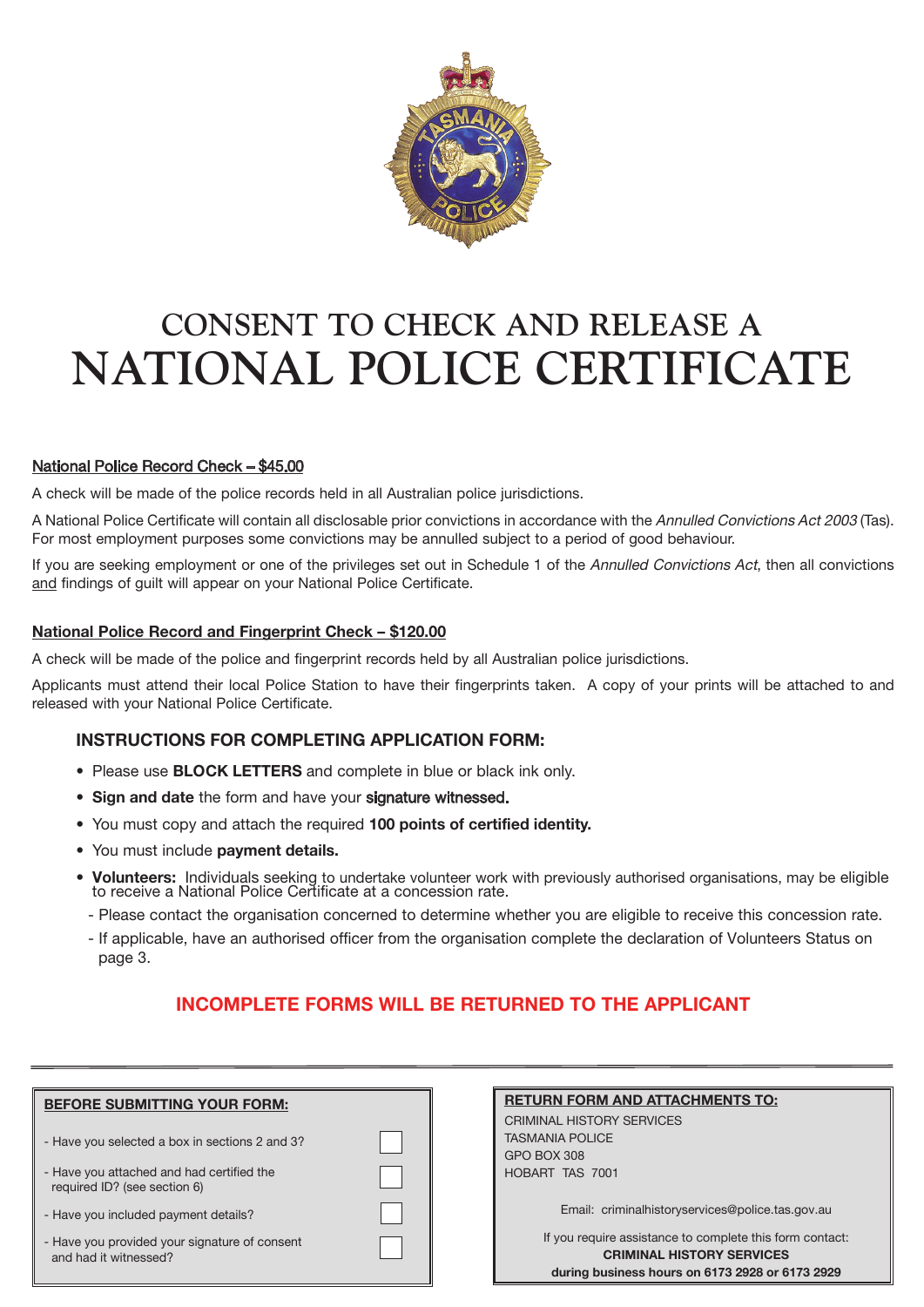

# **CONSENT TO CHECK AND RELEASE A NATIONAL POLICE CERTIFICATE**

# National Police Record Check – \$45.00

A check will be made of the police records held in all Australian police jurisdictions.

A National Police Certificate will contain all disclosable prior convictions in accordance with the Annulled Convictions Act 2003 (Tas). For most employment purposes some convictions may be annulled subject to a period of good behaviour.

If you are seeking employment or one of the privileges set out in Schedule 1 of the Annulled Convictions Act, then all convictions and findings of guilt will appear on your National Police Certificate.

### **National Police Record and Fingerprint Check – \$120.00**

A check will be made of the police and fingerprint records held by all Australian police jurisdictions.

Applicants must attend their local Police Station to have their fingerprints taken. A copy of your prints will be attached to and released with your National Police Certificate.

## **INSTRUCTIONS FOR COMPLETING APPLICATION FORM:**

- Please use **BLOCK LETTERS** and complete in blue or black ink only.
- Sign and date the form and have your signature witnessed.
- You must copy and attach the required **100 points of certified identity.**
- You must include **payment details.**
- Volunteers: Individuals seeking to undertake volunteer work with previously authorised organisations, may be eligible to receive a National Police Certificate at a concession rate.
- Please contact the organisation concerned to determine whether you are eligible to receive this concession rate.
- If applicable, have an authorised officer from the organisation complete the declaration of Volunteers Status on page 3.

# **INCOMPLETE FORMS WILL BE RETURNED TO THE APPLICANT**

| <b>BEFORE SUBMITTING YOUR FORM:</b>                                       |  |
|---------------------------------------------------------------------------|--|
| - Have you selected a box in sections 2 and 3?                            |  |
| - Have you attached and had certified the<br>required ID? (see section 6) |  |
| - Have you included payment details?                                      |  |
| - Have you provided your signature of consent<br>and had it witnessed?    |  |

| <b>RETURN FORM AND ATTACHMENTS TO:</b> |  |
|----------------------------------------|--|
| CRIMINAL HISTORY SERVICES              |  |
| <b>TASMANIA POLICE</b>                 |  |

TASMANIA POLICE GPO BOX 308 HOBART
TAS 7001

Email:  criminalhistoryservices@police.tas.gov.au

If you require assistance to complete this form contact: **CRIMINAL HISTORY SERVICES during business hours on 6173 2928 or 6173 2929**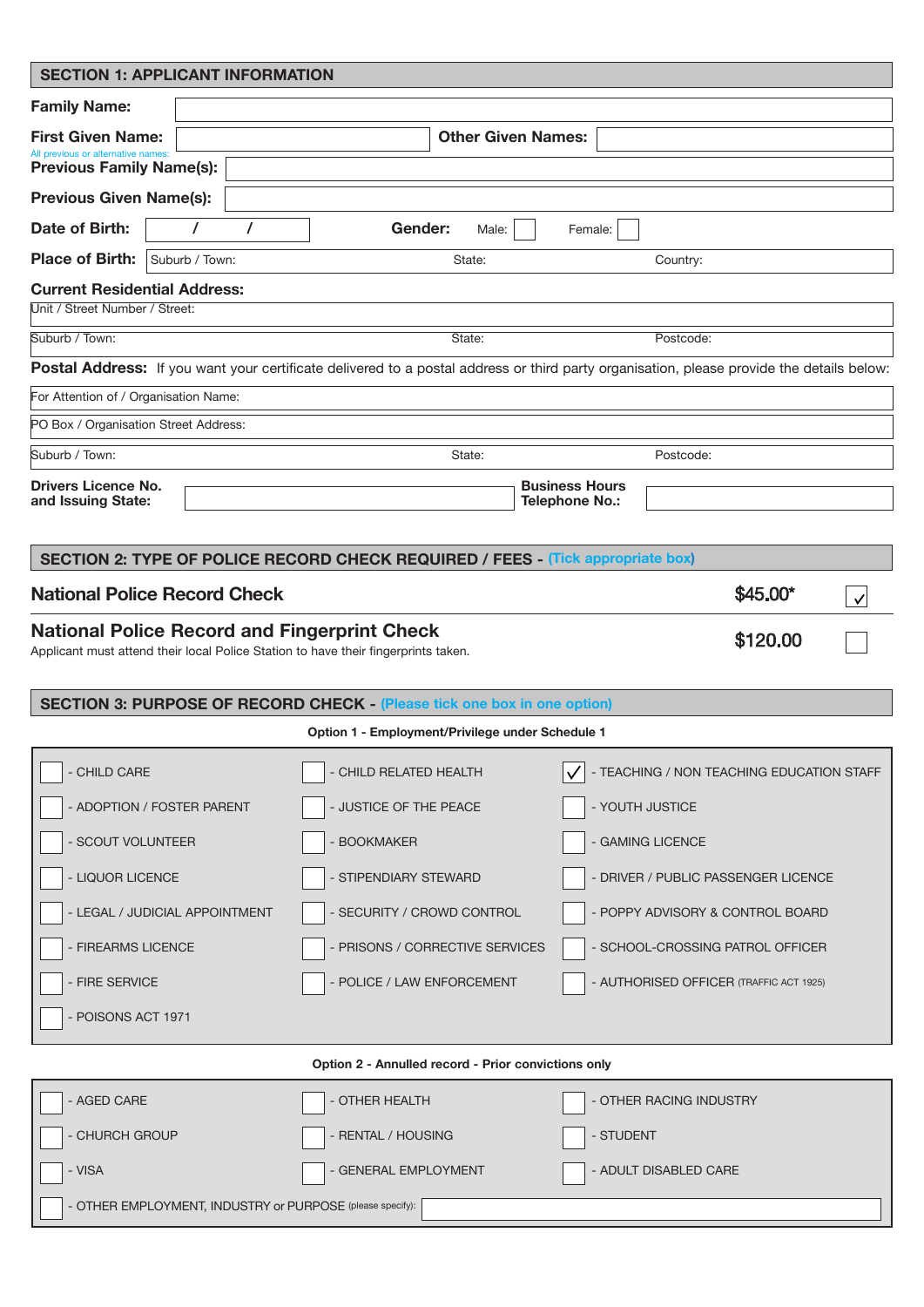| <b>SECTION 1: APPLICANT INFORMATION</b>                               |                |   |                                                                                                                                           |                                                                                                                                           |                       |                         |                                           |              |
|-----------------------------------------------------------------------|----------------|---|-------------------------------------------------------------------------------------------------------------------------------------------|-------------------------------------------------------------------------------------------------------------------------------------------|-----------------------|-------------------------|-------------------------------------------|--------------|
| <b>Family Name:</b>                                                   |                |   |                                                                                                                                           |                                                                                                                                           |                       |                         |                                           |              |
| <b>First Given Name:</b>                                              |                |   |                                                                                                                                           | <b>Other Given Names:</b>                                                                                                                 |                       |                         |                                           |              |
| All previous or alternative names:<br><b>Previous Family Name(s):</b> |                |   |                                                                                                                                           |                                                                                                                                           |                       |                         |                                           |              |
| <b>Previous Given Name(s):</b>                                        |                |   |                                                                                                                                           |                                                                                                                                           |                       |                         |                                           |              |
| Date of Birth:                                                        | $\prime$       | 7 | Gender:                                                                                                                                   | Male:                                                                                                                                     | Female:               |                         |                                           |              |
| <b>Place of Birth:</b>                                                | Suburb / Town: |   |                                                                                                                                           | State:                                                                                                                                    |                       | Country:                |                                           |              |
| <b>Current Residential Address:</b><br>Unit / Street Number / Street: |                |   |                                                                                                                                           |                                                                                                                                           |                       |                         |                                           |              |
| Suburb / Town:                                                        |                |   |                                                                                                                                           | State:                                                                                                                                    |                       | Postcode:               |                                           |              |
|                                                                       |                |   |                                                                                                                                           | Postal Address: If you want your certificate delivered to a postal address or third party organisation, please provide the details below: |                       |                         |                                           |              |
| For Attention of / Organisation Name:                                 |                |   |                                                                                                                                           |                                                                                                                                           |                       |                         |                                           |              |
| PO Box / Organisation Street Address:                                 |                |   |                                                                                                                                           |                                                                                                                                           |                       |                         |                                           |              |
| Suburb / Town:                                                        |                |   |                                                                                                                                           | State:                                                                                                                                    |                       | Postcode:               |                                           |              |
| <b>Drivers Licence No.</b>                                            |                |   |                                                                                                                                           |                                                                                                                                           | <b>Business Hours</b> |                         |                                           |              |
| and Issuing State:                                                    |                |   |                                                                                                                                           |                                                                                                                                           | <b>Telephone No.:</b> |                         |                                           |              |
|                                                                       |                |   |                                                                                                                                           | SECTION 2: TYPE OF POLICE RECORD CHECK REQUIRED / FEES - (Tick appropriate box)                                                           |                       |                         |                                           |              |
|                                                                       |                |   |                                                                                                                                           |                                                                                                                                           |                       |                         |                                           |              |
| <b>National Police Record Check</b>                                   |                |   |                                                                                                                                           |                                                                                                                                           |                       |                         | \$45.00*                                  | $\checkmark$ |
|                                                                       |                |   | <b>National Police Record and Fingerprint Check</b><br>Applicant must attend their local Police Station to have their fingerprints taken. |                                                                                                                                           |                       |                         | \$120.00                                  |              |
|                                                                       |                |   |                                                                                                                                           | <b>SECTION 3: PURPOSE OF RECORD CHECK - (Please tick one box in one option)</b>                                                           |                       |                         |                                           |              |
|                                                                       |                |   |                                                                                                                                           | Option 1 - Employment/Privilege under Schedule 1                                                                                          |                       |                         |                                           |              |
| - CHILD CARE                                                          |                |   | CHILD RELATED HEALTH                                                                                                                      |                                                                                                                                           |                       |                         | - TEACHING / NON TEACHING EDUCATION STAFF |              |
| - ADOPTION / FOSTER PARENT                                            |                |   | - JUSTICE OF THE PEACE                                                                                                                    |                                                                                                                                           |                       | - YOUTH JUSTICE         |                                           |              |
| - SCOUT VOLUNTEER                                                     |                |   | <b>BOOKMAKER</b>                                                                                                                          |                                                                                                                                           |                       | - GAMING LICENCE        |                                           |              |
| - LIQUOR LICENCE                                                      |                |   | - STIPENDIARY STEWARD                                                                                                                     |                                                                                                                                           |                       |                         | - DRIVER / PUBLIC PASSENGER LICENCE       |              |
| - LEGAL / JUDICIAL APPOINTMENT                                        |                |   |                                                                                                                                           | SECURITY / CROWD CONTROL                                                                                                                  |                       |                         | - POPPY ADVISORY & CONTROL BOARD          |              |
| - FIREARMS LICENCE                                                    |                |   |                                                                                                                                           | - PRISONS / CORRECTIVE SERVICES                                                                                                           |                       |                         | - SCHOOL-CROSSING PATROL OFFICER          |              |
| - FIRE SERVICE                                                        |                |   |                                                                                                                                           | - POLICE / LAW ENFORCEMENT                                                                                                                |                       |                         | - AUTHORISED OFFICER (TRAFFIC ACT 1925)   |              |
| - POISONS ACT 1971                                                    |                |   |                                                                                                                                           |                                                                                                                                           |                       |                         |                                           |              |
| Option 2 - Annulled record - Prior convictions only                   |                |   |                                                                                                                                           |                                                                                                                                           |                       |                         |                                           |              |
| - AGED CARE                                                           |                |   | OTHER HEALTH                                                                                                                              |                                                                                                                                           |                       | - OTHER RACING INDUSTRY |                                           |              |
| - CHURCH GROUP                                                        |                |   | <b>RENTAL / HOUSING</b>                                                                                                                   |                                                                                                                                           | - STUDENT             |                         |                                           |              |
| - VISA                                                                |                |   | - GENERAL EMPLOYMENT                                                                                                                      |                                                                                                                                           |                       | - ADULT DISABLED CARE   |                                           |              |
|                                                                       |                |   |                                                                                                                                           |                                                                                                                                           |                       |                         |                                           |              |

- OTHER EMPLOYMENT, INDUSTRY or PURPOSE (please specify):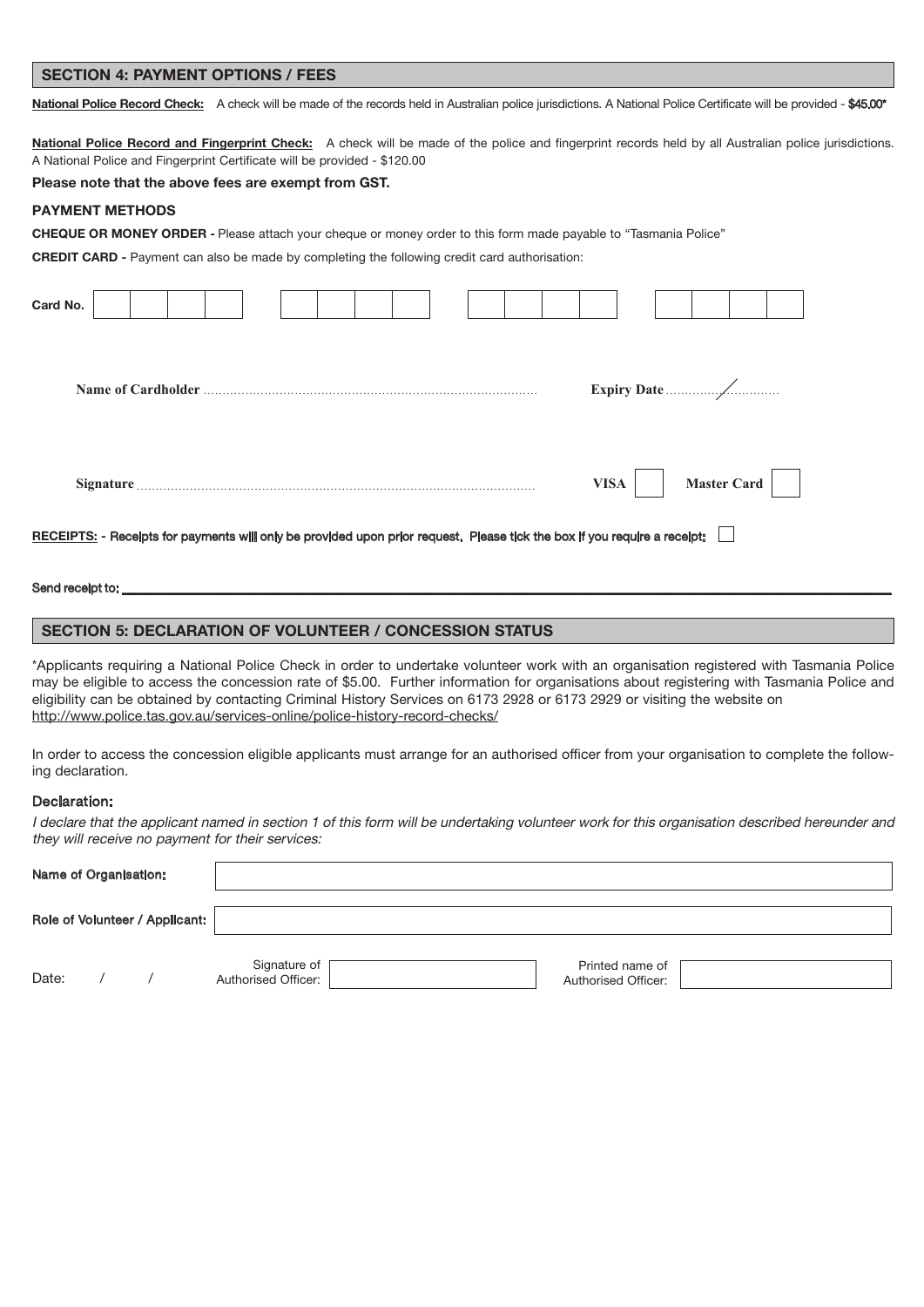#### SECTION 4: PAYMENT OPTIONS / FEES

National Police Record Check: A check will be made of the records held in Australian police jurisdictions. A National Police Certificate will be provided - \$45.00\*

National Police Record and Fingerprint Check: A check will be made of the police and fingerprint records held by all Australian police jurisdictions. A National Police and Fingerprint Certificate will be provided - \$120.00

**Please note that the above fees are exempt from GST.**

#### **PAYMENT METHODS**

**CHEQUE OR MONEY ORDER -** Please attach your cheque or money order to this form made payable to "Tasmania Police"

**CREDIT** CARD - Payment can also be made by completing the following credit card authorisation:

| Card No.                                                                                                                  |                                   |
|---------------------------------------------------------------------------------------------------------------------------|-----------------------------------|
|                                                                                                                           |                                   |
|                                                                                                                           | <b>Master Card</b><br><b>VISA</b> |
| RECEIPTS: - Receipts for payments will only be provided upon prior request. Please tick the box if you require a receipt: |                                   |
| Send receipt to:                                                                                                          |                                   |

#### **SECTION 5: DECLARATION OF VOLUNTEER / CONCESSION STATUS**

\*Applicants requiring a National Police Check in order to undertake volunteer work with an organisation registered with Tasmania Police may be eligible to access the concession rate of \$5.00. Further information for organisations about registering with Tasmania Police and eligibility can be obtained by contacting Criminal History Services on 6173 2928 or 6173 2929 or visiting the website on http://www.police.tas.gov.au/services-online/police-history-record-checks/

In order to access the concession eligible applicants must arrange for an authorised officer from your organisation to complete the following declaration.

#### Declaration:

I declare that the applicant named in section 1 of this form will be undertaking volunteer work for this organisation described hereunder and they will receive no payment for their services:

| Name of Organisation: |                                |                                       |                                        |
|-----------------------|--------------------------------|---------------------------------------|----------------------------------------|
|                       | Role of Volunteer / Applicant: |                                       |                                        |
| Date:                 |                                | Signature of<br>  Authorised Officer: | Printed name of<br>Authorised Officer: |